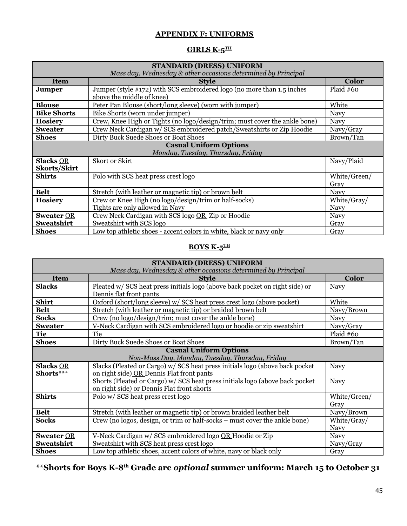### **APPENDIX F: UNIFORMS**

# **GIRLS K-5TH**

| <b>STANDARD (DRESS) UNIFORM</b><br>Mass day, Wednesday & other occasions determined by Principal |                                                                                                     |                            |  |  |
|--------------------------------------------------------------------------------------------------|-----------------------------------------------------------------------------------------------------|----------------------------|--|--|
| <b>Item</b>                                                                                      | <b>Style</b>                                                                                        | <b>Color</b>               |  |  |
| Jumper                                                                                           | Jumper (style #172) with SCS embroidered logo (no more than 1.5 inches<br>above the middle of knee) | Plaid #60                  |  |  |
| <b>Blouse</b>                                                                                    | Peter Pan Blouse (short/long sleeve) (worn with jumper)                                             | White                      |  |  |
| <b>Bike Shorts</b>                                                                               | Bike Shorts (worn under jumper)                                                                     | <b>Navy</b>                |  |  |
| <b>Hosiery</b>                                                                                   | Crew, Knee High or Tights (no logo/design/trim; must cover the ankle bone)                          | <b>Navy</b>                |  |  |
| <b>Sweater</b>                                                                                   | Crew Neck Cardigan w/ SCS embroidered patch/Sweatshirts or Zip Hoodie                               | Navy/Gray                  |  |  |
| <b>Shoes</b>                                                                                     | Dirty Buck Suede Shoes or Boat Shoes                                                                | Brown/Tan                  |  |  |
| <b>Casual Uniform Options</b>                                                                    |                                                                                                     |                            |  |  |
|                                                                                                  | Monday, Tuesday, Thursday, Friday                                                                   |                            |  |  |
| <b>Slacks OR</b><br><b>Skorts/Skirt</b>                                                          | Skort or Skirt                                                                                      | Navy/Plaid                 |  |  |
| <b>Shirts</b>                                                                                    | Polo with SCS heat press crest logo                                                                 | White/Green/<br>Gray       |  |  |
| <b>Belt</b>                                                                                      | Stretch (with leather or magnetic tip) or brown belt                                                | Navy                       |  |  |
| <b>Hosiery</b>                                                                                   | Crew or Knee High (no logo/design/trim or half-socks)<br>Tights are only allowed in Navy            | White/Gray/<br><b>Navy</b> |  |  |
| <b>Sweater OR</b><br>Sweatshirt                                                                  | Crew Neck Cardigan with SCS logo OR Zip or Hoodie<br>Sweatshirt with SCS logo                       | <b>Navy</b><br>Gray        |  |  |
| <b>Shoes</b>                                                                                     | Low top athletic shoes - accent colors in white, black or navy only                                 | Gray                       |  |  |

## **BOYS K-5TH**

| <b>STANDARD (DRESS) UNIFORM</b>                               |                                                                              |              |  |
|---------------------------------------------------------------|------------------------------------------------------------------------------|--------------|--|
| Mass day, Wednesday & other occasions determined by Principal |                                                                              |              |  |
| <b>Item</b>                                                   | <b>Style</b>                                                                 | <b>Color</b> |  |
| <b>Slacks</b>                                                 | Pleated w/ SCS heat press initials logo (above back pocket on right side) or | <b>Navy</b>  |  |
|                                                               | Dennis flat front pants                                                      |              |  |
| <b>Shirt</b>                                                  | Oxford (short/long sleeve) w/ SCS heat press crest logo (above pocket)       | White        |  |
| <b>Belt</b>                                                   | Stretch (with leather or magnetic tip) or braided brown belt                 | Navy/Brown   |  |
| <b>Socks</b>                                                  | Crew (no logo/design/trim; must cover the ankle bone)                        | <b>Navy</b>  |  |
| <b>Sweater</b>                                                | V-Neck Cardigan with SCS embroidered logo or hoodie or zip sweatshirt        | Navy/Gray    |  |
| <b>Tie</b>                                                    | Tie                                                                          | Plaid $#60$  |  |
| <b>Shoes</b>                                                  | Dirty Buck Suede Shoes or Boat Shoes                                         | Brown/Tan    |  |
|                                                               | <b>Casual Uniform Options</b>                                                |              |  |
|                                                               | Non-Mass Day, Monday, Tuesday, Thursday, Friday                              |              |  |
| <b>Slacks OR</b>                                              | Slacks (Pleated or Cargo) w/ SCS heat press initials logo (above back pocket | <b>Navy</b>  |  |
| Shorts***                                                     | on right side) OR Dennis Flat front pants                                    |              |  |
|                                                               | Shorts (Pleated or Cargo) w/ SCS heat press initials logo (above back pocket | <b>Navy</b>  |  |
|                                                               | on right side) or Dennis Flat front shorts                                   |              |  |
| <b>Shirts</b>                                                 | Polo w/ SCS heat press crest logo                                            | White/Green/ |  |
|                                                               |                                                                              | Gray         |  |
| Belt                                                          | Stretch (with leather or magnetic tip) or brown braided leather belt         | Navy/Brown   |  |
| <b>Socks</b>                                                  | Crew (no logos, design, or trim or half-socks – must cover the ankle bone)   | White/Gray/  |  |
|                                                               |                                                                              | <b>Navy</b>  |  |
| <b>Sweater OR</b>                                             | V-Neck Cardigan w/ SCS embroidered logo OR Hoodie or Zip                     | <b>Navy</b>  |  |
| Sweatshirt                                                    | Sweatshirt with SCS heat press crest logo                                    | Navy/Gray    |  |
| <b>Shoes</b>                                                  | Low top athletic shoes, accent colors of white, navy or black only           | Gray         |  |

**\*\*Shorts for Boys K-8th Grade are** *optional* **summer uniform: March 15 to October 31**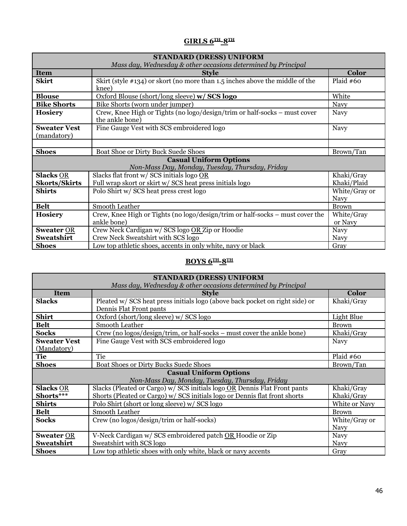# **GIRLS 6TH-8TH**

| <b>STANDARD (DRESS) UNIFORM</b>                               |                                                                                              |                              |  |
|---------------------------------------------------------------|----------------------------------------------------------------------------------------------|------------------------------|--|
| Mass day, Wednesday & other occasions determined by Principal |                                                                                              |                              |  |
| <b>Item</b>                                                   | <b>Style</b>                                                                                 | <b>Color</b>                 |  |
| <b>Skirt</b>                                                  | Skirt (style #134) or skort (no more than 1.5 inches above the middle of the<br>knee)        | Plaid #60                    |  |
| <b>Blouse</b>                                                 | Oxford Blouse (short/long sleeve) w/ SCS logo                                                | White                        |  |
| <b>Bike Shorts</b>                                            | Bike Shorts (worn under jumper)                                                              | <b>Navy</b>                  |  |
| <b>Hosiery</b>                                                | Crew, Knee High or Tights (no logo/design/trim or half-socks – must cover<br>the ankle bone) | <b>Navy</b>                  |  |
| <b>Sweater Vest</b><br>(mandatory)                            | Fine Gauge Vest with SCS embroidered logo                                                    | Navy                         |  |
|                                                               |                                                                                              |                              |  |
| <b>Shoes</b>                                                  | Boat Shoe or Dirty Buck Suede Shoes                                                          | Brown/Tan                    |  |
| <b>Casual Uniform Options</b>                                 |                                                                                              |                              |  |
|                                                               | Non-Mass Day, Monday, Tuesday, Thursday, Friday                                              |                              |  |
| <b>Slacks OR</b>                                              | Slacks flat front w/ SCS initials logo OR                                                    | Khaki/Gray                   |  |
| <b>Skorts/Skirts</b>                                          | Full wrap skort or skirt w/ SCS heat press initials logo                                     | Khaki/Plaid                  |  |
| <b>Shirts</b>                                                 | Polo Shirt w/ SCS heat press crest logo                                                      | White/Gray or<br><b>Navy</b> |  |
| <b>Belt</b>                                                   | Smooth Leather                                                                               | <b>Brown</b>                 |  |
| <b>Hosiery</b>                                                | Crew, Knee High or Tights (no logo/design/trim or half-socks – must cover the<br>ankle bone) | White/Gray<br>or Navy        |  |
| <b>Sweater OR</b>                                             | Crew Neck Cardigan w/ SCS logo OR Zip or Hoodie                                              | Navy                         |  |
| Sweatshirt                                                    | Crew Neck Sweatshirt with SCS logo                                                           | <b>Navy</b>                  |  |
| <b>Shoes</b>                                                  | Low top athletic shoes, accents in only white, navy or black                                 | Gray                         |  |

## **BOYS 6TH-8TH**

| <b>STANDARD (DRESS) UNIFORM</b>                               |                                                                              |               |  |  |
|---------------------------------------------------------------|------------------------------------------------------------------------------|---------------|--|--|
| Mass day, Wednesday & other occasions determined by Principal |                                                                              |               |  |  |
| <b>Item</b>                                                   | <b>Style</b>                                                                 | <b>Color</b>  |  |  |
| <b>Slacks</b>                                                 | Pleated w/ SCS heat press initials logo (above back pocket on right side) or | Khaki/Gray    |  |  |
|                                                               | Dennis Flat Front pants                                                      |               |  |  |
| <b>Shirt</b>                                                  | Oxford (short/long sleeve) w/ SCS logo                                       | Light Blue    |  |  |
| <b>Belt</b>                                                   | Smooth Leather                                                               | <b>Brown</b>  |  |  |
| <b>Socks</b>                                                  | Crew (no logos/design/trim, or half-socks – must cover the ankle bone)       | Khaki/Gray    |  |  |
| <b>Sweater Vest</b>                                           | Fine Gauge Vest with SCS embroidered logo                                    | <b>Navy</b>   |  |  |
| (Mandatory)                                                   |                                                                              |               |  |  |
| <b>Tie</b>                                                    | Tie                                                                          | Plaid #60     |  |  |
| <b>Shoes</b>                                                  | Boat Shoes or Dirty Bucks Suede Shoes                                        | Brown/Tan     |  |  |
| <b>Casual Uniform Options</b>                                 |                                                                              |               |  |  |
|                                                               | Non-Mass Day, Monday, Tuesday, Thursday, Friday                              |               |  |  |
| <b>Slacks OR</b>                                              | Slacks (Pleated or Cargo) w/ SCS initials logo OR Dennis Flat Front pants    | Khaki/Gray    |  |  |
| Shorts***                                                     | Shorts (Pleated or Cargo) w/ SCS initials logo or Dennis flat front shorts   | Khaki/Gray    |  |  |
| <b>Shirts</b>                                                 | Polo Shirt (short or long sleeve) w/ SCS logo                                | White or Navy |  |  |
| <b>Belt</b>                                                   | Smooth Leather                                                               | <b>Brown</b>  |  |  |
| <b>Socks</b>                                                  | Crew (no logos/design/trim or half-socks)                                    | White/Gray or |  |  |
|                                                               |                                                                              | <b>Navy</b>   |  |  |
| <b>Sweater OR</b>                                             | V-Neck Cardigan w/ SCS embroidered patch OR Hoodie or Zip                    | <b>Navy</b>   |  |  |
| Sweatshirt                                                    | Sweatshirt with SCS logo                                                     | <b>Navy</b>   |  |  |
| <b>Shoes</b>                                                  | Low top athletic shoes with only white, black or navy accents                | Gray          |  |  |